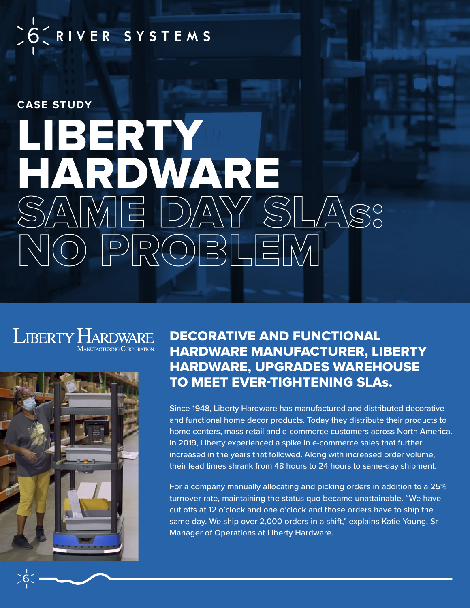SO CRIVER SYSTEMS

### **CASE STUDY**

# LIBERTY HARDWARE<br>SAME DAY SLA NO PROBLEM

#### **LIBERTY HARDWARE MANUFACTURING CORPORATION**



DECORATIVE AND FUNCTIONAL HARDWARE MANUFACTURER, LIBERTY HARDWARE, UPGRADES WAREHOUSE TO MEET EVER-TIGHTENING SLAs.

Since 1948, Liberty Hardware has manufactured and distributed decorative and functional home decor products. Today they distribute their products to home centers, mass-retail and e-commerce customers across North America. In 2019, Liberty experienced a spike in e-commerce sales that further increased in the years that followed. Along with increased order volume, their lead times shrank from 48 hours to 24 hours to same-day shipment.

For a company manually allocating and picking orders in addition to a 25% turnover rate, maintaining the status quo became unattainable. "We have cut offs at 12 o'clock and one o'clock and those orders have to ship the same day. We ship over 2,000 orders in a shift," explains Katie Young, Sr Manager of Operations at Liberty Hardware.